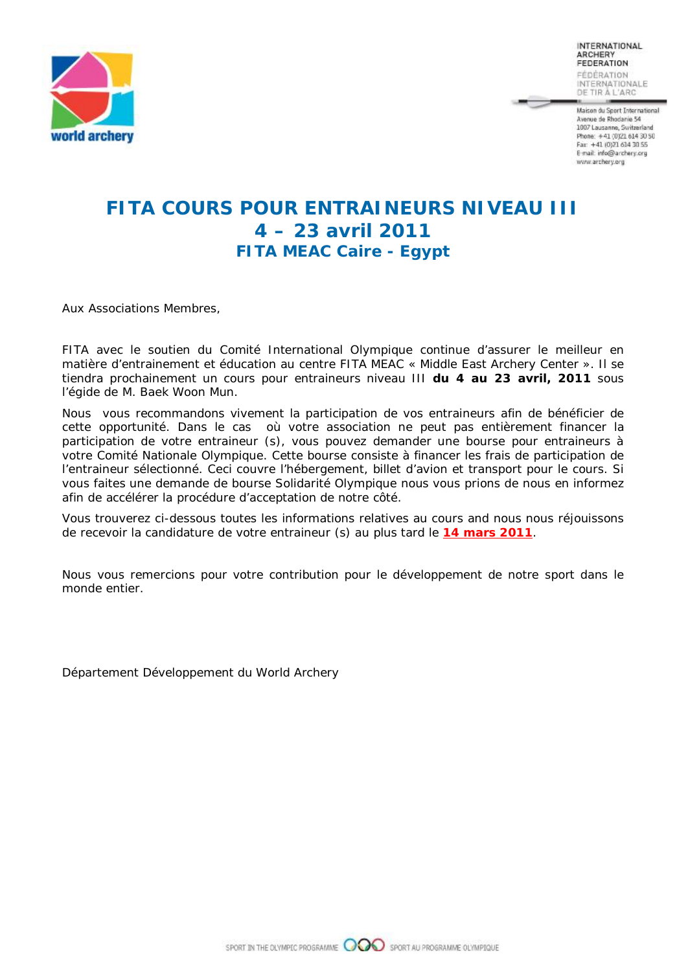

Maison du Sport International Avenue de Rhodanie 54 1007 Lausanne, Switzerland Phone: +41 (0)21 614 30 50 Fax: +41 (0)21 614 30 55 E-mail: info@archery.org www.archery.org

# **FITA COURS POUR ENTRAINEURS NIVEAU III 4 – 23 avril 2011 FITA MEAC Caire - Egypt**

Aux Associations Membres,

FITA avec le soutien du Comité International Olympique continue d'assurer le meilleur en matière d'entrainement et éducation au centre FITA MEAC « Middle East Archery Center ». Il se tiendra prochainement un cours pour entraineurs niveau III **du 4 au 23 avril, 2011** sous l'égide de M. Baek Woon Mun.

Nous vous recommandons vivement la participation de vos entraineurs afin de bénéficier de cette opportunité. Dans le cas où votre association ne peut pas entièrement financer la participation de votre entraineur (s), vous pouvez demander une bourse pour entraineurs à votre Comité Nationale Olympique. Cette bourse consiste à financer les frais de participation de l'entraineur sélectionné. Ceci couvre l'hébergement, billet d'avion et transport pour le cours. Si vous faites une demande de bourse Solidarité Olympique nous vous prions de nous en informez afin de accélérer la procédure d'acceptation de notre côté.

Vous trouverez ci-dessous toutes les informations relatives au cours and nous nous réjouissons de recevoir la candidature de votre entraineur (s) au plus tard le **14 mars 2011**.

Nous vous remercions pour votre contribution pour le développement de notre sport dans le monde entier.

Département Développement du World Archery

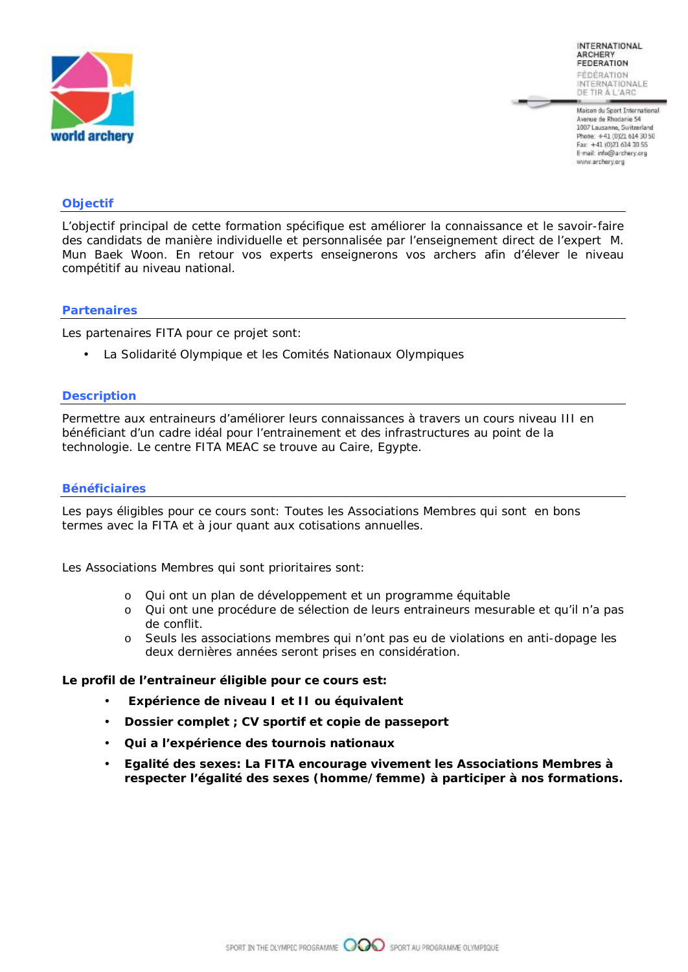

Maison du Sport International Avenue de Rhodanie 54 1007 Lausanne, Switzerland Phone: +41 (0)21 614 30 50 Fax: +41 (0)21 614 30 55 E-mail: info@archery.org www.archery.org

#### **Objectif**

L'objectif principal de cette formation spécifique est améliorer la connaissance et le savoir-faire des candidats de manière individuelle et personnalisée par l'enseignement direct de l'expert M. Mun Baek Woon. En retour vos experts enseignerons vos archers afin d'élever le niveau compétitif au niveau national.

#### **Partenaires**

Les partenaires FITA pour ce projet sont:

• La Solidarité Olympique et les Comités Nationaux Olympiques

#### **Description**

Permettre aux entraineurs d'améliorer leurs connaissances à travers un cours niveau III en bénéficiant d'un cadre idéal pour l'entrainement et des infrastructures au point de la technologie. Le centre FITA MEAC se trouve au Caire, Egypte.

#### **Bénéficiaires**

Les pays éligibles pour ce cours sont: Toutes les Associations Membres qui sont en bons termes avec la FITA et à jour quant aux cotisations annuelles.

Les Associations Membres qui sont prioritaires sont:

- o Qui ont un plan de développement et un programme équitable
- o Qui ont une procédure de sélection de leurs entraineurs mesurable et qu'il n'a pas de conflit.
- o Seuls les associations membres qui n'ont pas eu de violations en anti-dopage les deux dernières années seront prises en considération.

**Le profil de l'entraineur éligible pour ce cours est:** 

- **Expérience de niveau I et II ou équivalent**
- **Dossier complet ; CV sportif et copie de passeport**
- **Qui a l'expérience des tournois nationaux**
- **Egalité des sexes: La FITA encourage vivement les Associations Membres à respecter l'égalité des sexes (homme/femme) à participer à nos formations.**

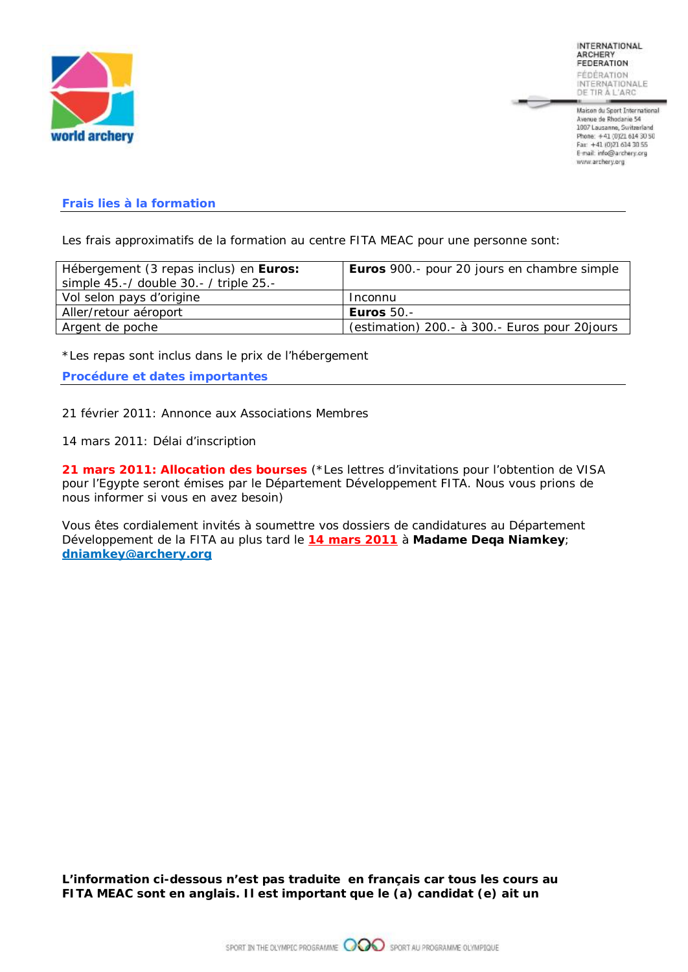

Maison du Sport International Avenue de Rhodanie 54 1007 Lausanne, Switzerland Phone: +41 (0)21 614 30 50 Fax: +41 (0)21 614 30 55 E-mail: info@archery.org www.archery.org

#### **Frais lies à la formation**

Les frais approximatifs de la formation au centre FITA MEAC pour une personne sont:

| Hébergement (3 repas inclus) en Euros: | Euros 900.- pour 20 jours en chambre simple   |
|----------------------------------------|-----------------------------------------------|
| simple 45.-/ double 30.- / triple 25.- |                                               |
| Vol selon pays d'origine               | <b>Inconnu</b>                                |
| Aller/retour aéroport                  | <b>Euros 50.-</b>                             |
| Argent de poche                        | (estimation) 200.- à 300.- Euros pour 20jours |
|                                        |                                               |

*\*Les repas sont inclus dans le prix de l'hébergement* 

**Procédure et dates importantes** 

21 février 2011: Annonce aux Associations Membres

14 mars 2011: Délai d'inscription

**21 mars 2011: Allocation des bourses** *(\*Les lettres d'invitations pour l'obtention de VISA pour l'Egypte seront émises par le Département Développement FITA. Nous vous prions de nous informer si vous en avez besoin)* 

Vous êtes cordialement invités à soumettre vos dossiers de candidatures au Département Développement de la FITA au plus tard le **14 mars 2011** à **Madame Deqa Niamkey**; **[dniamkey@archery.org](mailto:dniamkey@archery.org)**

*L'information ci-dessous n'est pas traduite en français car tous les cours au FITA MEAC sont en anglais. Il est important que le (a) candidat (e) ait un*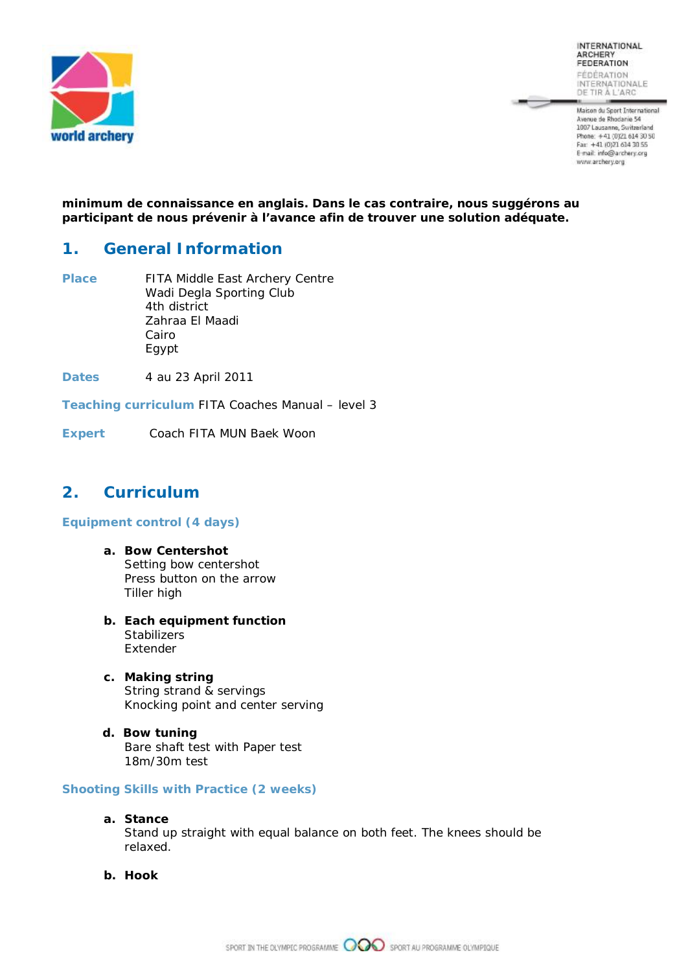

**INTERNATIONAL** ARCHERY<br>FEDERATION FÉDÉRATION INTERNATIONALE

Maison du Sport International Avenue de Rhodanie 54<br>1007 Lausanne, Switzerland Phone: +41 (0)21 614 30 50<br>Fax: +41 (0)21 614 30 56<br>E-mail: info@archery.org www.archery.org

*minimum de connaissance en anglais. Dans le cas contraire, nous suggérons au participant de nous prévenir à l'avance afin de trouver une solution adéquate.* 

### **1. General Information**

**Place** FITA Middle East Archery Centre Wadi Degla Sporting Club 4th district Zahraa El Maadi Cairo Egypt

**Dates** 4 au 23 April 2011

**Teaching curriculum** FITA Coaches Manual – level 3

**Expert** Coach FITA MUN Baek Woon

## **2. Curriculum**

**Equipment control (4 days)** 

- **a. Bow Centershot**  Setting bow centershot Press button on the arrow Tiller high
- **b. Each equipment function Stabilizers** Extender
- **c. Making string**  String strand & servings Knocking point and center serving
- **d. Bow tuning** Bare shaft test with Paper test 18m/30m test

**Shooting Skills with Practice (2 weeks)** 

- **a. Stance**  Stand up straight with equal balance on both feet. The knees should be relaxed.
- **b. Hook**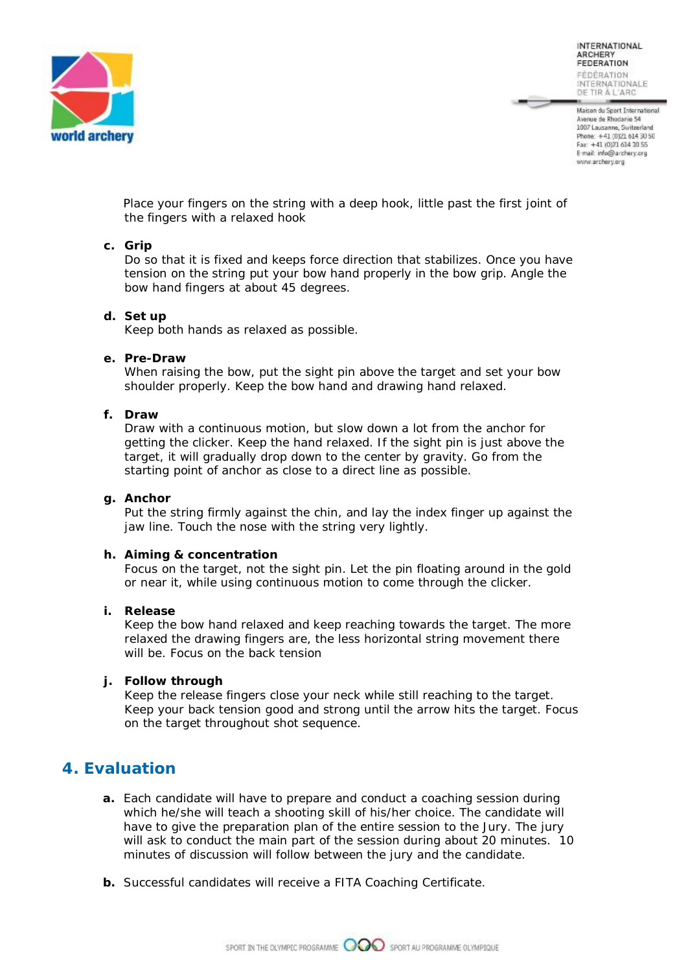

Maison du Sport International Avenue de Rhodanie 54 1007 Lausanne, Switzerland Phone: +41 (0)21 614 30 50 Fax: +41 (0)21 614 30 55 E-mail: info@archery.org www.archery.org

Place your fingers on the string with a deep hook, little past the first joint of the fingers with a relaxed hook

#### **c. Grip**

Do so that it is fixed and keeps force direction that stabilizes. Once you have tension on the string put your bow hand properly in the bow grip. Angle the bow hand fingers at about 45 degrees.

#### **d. Set up**

Keep both hands as relaxed as possible.

#### **e. Pre-Draw**

When raising the bow, put the sight pin above the target and set your bow shoulder properly. Keep the bow hand and drawing hand relaxed.

#### **f. Draw**

Draw with a continuous motion, but slow down a lot from the anchor for getting the clicker. Keep the hand relaxed. If the sight pin is just above the target, it will gradually drop down to the center by gravity. Go from the starting point of anchor as close to a direct line as possible.

#### **g. Anchor**

Put the string firmly against the chin, and lay the index finger up against the jaw line. Touch the nose with the string very lightly.

#### **h. Aiming & concentration**

Focus on the target, not the sight pin. Let the pin floating around in the gold or near it, while using continuous motion to come through the clicker.

#### **i. Release**

Keep the bow hand relaxed and keep reaching towards the target. The more relaxed the drawing fingers are, the less horizontal string movement there will be. Focus on the back tension

#### **j. Follow through**

Keep the release fingers close your neck while still reaching to the target. Keep your back tension good and strong until the arrow hits the target. Focus on the target throughout shot sequence.

### **4. Evaluation**

- **a.** Each candidate will have to prepare and conduct a coaching session during which he/she will teach a shooting skill of his/her choice. The candidate will have to give the preparation plan of the entire session to the Jury. The jury will ask to conduct the main part of the session during about 20 minutes. 10 minutes of discussion will follow between the jury and the candidate.
- **b.** Successful candidates will receive a FITA Coaching Certificate.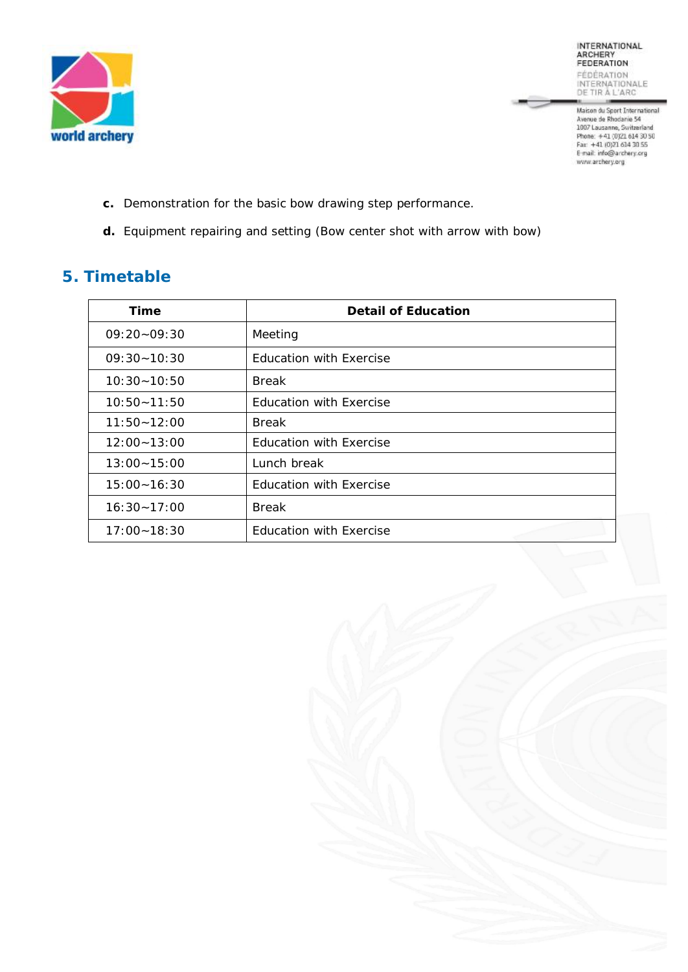

INTERNATIONAL<br>ARCHERY<br>FEDERATION FÉDÈRATION<br>INTERNATIONALE<br>DE TIR À L'ARC

**A** 

Maison du Sport International<br>
Avenue de Rhodanie 54<br>
1007 Lausanne, Switzerland<br>
Phone: +41 (0)21 614 30 50<br>
Fan: +41 (0)21 614 30 55<br>
E-mail: info@archery.org<br>
www.archery.org

- **c.** Demonstration for the basic bow drawing step performance.
- **d.** Equipment repairing and setting (Bow center shot with arrow with bow)

# **5. Timetable**

| Time            | <b>Detail of Education</b>     |
|-----------------|--------------------------------|
| $09:20 - 09:30$ | Meeting                        |
| $09:30 - 10:30$ | <b>Education with Exercise</b> |
| $10:30 - 10:50$ | <b>Break</b>                   |
| $10:50 - 11:50$ | <b>Education with Exercise</b> |
| $11:50 - 12:00$ | <b>Break</b>                   |
| $12:00 - 13:00$ | <b>Education with Exercise</b> |
| $13:00 - 15:00$ | Lunch break                    |
| $15:00 - 16:30$ | <b>Education with Exercise</b> |
| $16:30 - 17:00$ | <b>Break</b>                   |
| $17:00 - 18:30$ | <b>Education with Exercise</b> |

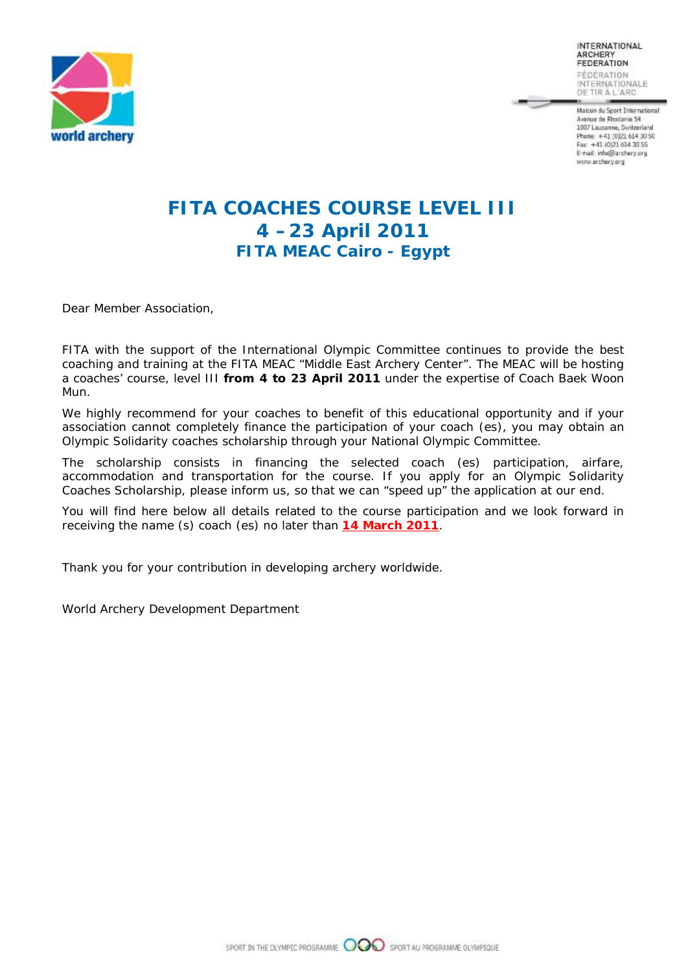

Maison du Sport International Avenue de Rhodanie 54 1007 Lausanne, Switzerland Phone: +41 (0)21 614 30 50 Fax: +41 (0)21 614 30 55 E-mail: info@archery.org www.archery.org

# **FITA COACHES COURSE LEVEL III 4 –23 April 2011 FITA MEAC Cairo - Egypt**

Dear Member Association,

FITA with the support of the International Olympic Committee continues to provide the best coaching and training at the FITA MEAC "Middle East Archery Center". The MEAC will be hosting a coaches' course, level III **from 4 to 23 April 2011** under the expertise of Coach Baek Woon Mun.

We highly recommend for your coaches to benefit of this educational opportunity and if your association cannot completely finance the participation of your coach (es), you may obtain an Olympic Solidarity coaches scholarship through your National Olympic Committee.

The scholarship consists in financing the selected coach (es) participation, airfare, accommodation and transportation for the course. If you apply for an Olympic Solidarity Coaches Scholarship, please inform us, so that we can "speed up" the application at our end.

You will find here below all details related to the course participation and we look forward in receiving the name (s) coach (es) no later than **14 March 2011**.

Thank you for your contribution in developing archery worldwide.

World Archery Development Department

SPORT IN THE OLYMPIC PROGRAMME **OCOO** SPORT AU PROGRAMME OLYMPIQUE

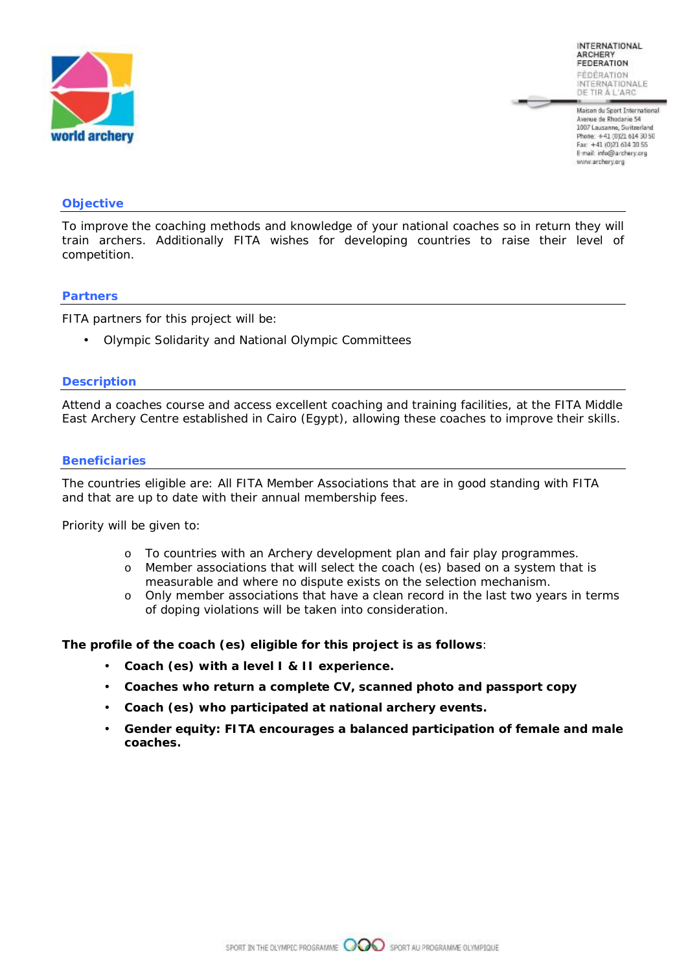

Maison du Sport International Avenue de Rhodanie 54 1007 Lausanne, Switzerland Phone: +41 (0)21 614 30 50 Fax: +41 (0)21 614 30 55 E-mail: info@archery.org www.archery.org

#### **Objective**

To improve the coaching methods and knowledge of your national coaches so in return they will train archers. Additionally FITA wishes for developing countries to raise their level of competition.

#### **Partners**

FITA partners for this project will be:

• Olympic Solidarity and National Olympic Committees

#### **Description**

Attend a coaches course and access excellent coaching and training facilities, at the FITA Middle East Archery Centre established in Cairo (Egypt), allowing these coaches to improve their skills.

#### **Beneficiaries**

The countries eligible are: All FITA Member Associations that are in good standing with FITA and that are up to date with their annual membership fees.

Priority will be given to:

- o To countries with an Archery development plan and fair play programmes.
- o Member associations that will select the coach (es) based on a system that is measurable and where no dispute exists on the selection mechanism.
- $\circ$  Only member associations that have a clean record in the last two years in terms of doping violations will be taken into consideration.

**The profile of the coach (es) eligible for this project is as follows**:

- **Coach (es) with a level I & II experience.**
- **Coaches who return a complete CV, scanned photo and passport copy**
- **Coach (es) who participated at national archery events.**
- **Gender equity: FITA encourages a balanced participation of female and male coaches.**

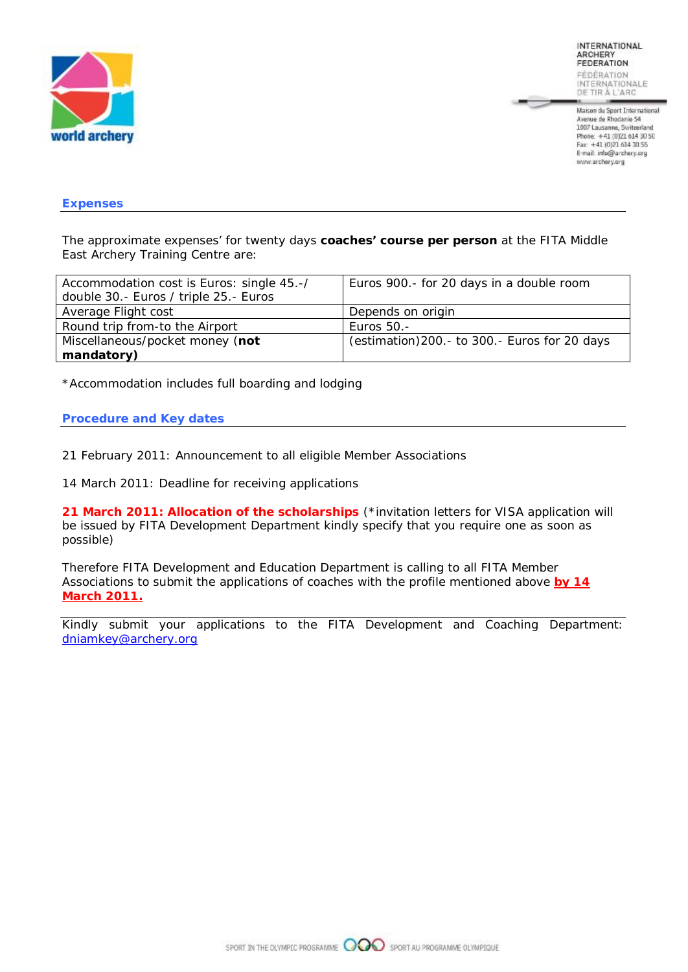

Maison du Sport International Avenue de Rhodanie 54 1007 Lausanne, Switzerland Phone: +41 (0)21 614 30 50 Fax: +41 (0)21 614 30 55 E-mail: info@archery.org www.archery.org

#### **Expenses**

The approximate expenses' for twenty days **coaches' course per person** at the FITA Middle East Archery Training Centre are:

| Accommodation cost is Euros: single 45.-/<br>double 30.- Euros / triple 25.- Euros | Euros 900.- for 20 days in a double room      |
|------------------------------------------------------------------------------------|-----------------------------------------------|
| Average Flight cost                                                                | Depends on origin                             |
| Round trip from-to the Airport                                                     | Euros 50.-                                    |
| Miscellaneous/pocket money (not                                                    | (estimation) 200.- to 300.- Euros for 20 days |
| mandatory)                                                                         |                                               |

*\*Accommodation includes full boarding and lodging* 

#### **Procedure and Key dates**

21 February 2011: Announcement to all eligible Member Associations

14 March 2011: Deadline for receiving applications

**21 March 2011: Allocation of the scholarships** *(\*invitation letters for VISA application will be issued by FITA Development Department kindly specify that you require one as soon as possible)* 

Therefore FITA Development and Education Department is calling to all FITA Member Associations to submit the applications of coaches with the profile mentioned above **by 14 March 2011.**

Kindly submit your applications to the FITA Development and Coaching Department: [dniamkey@archery.org](mailto:dniamkey@archery.org)

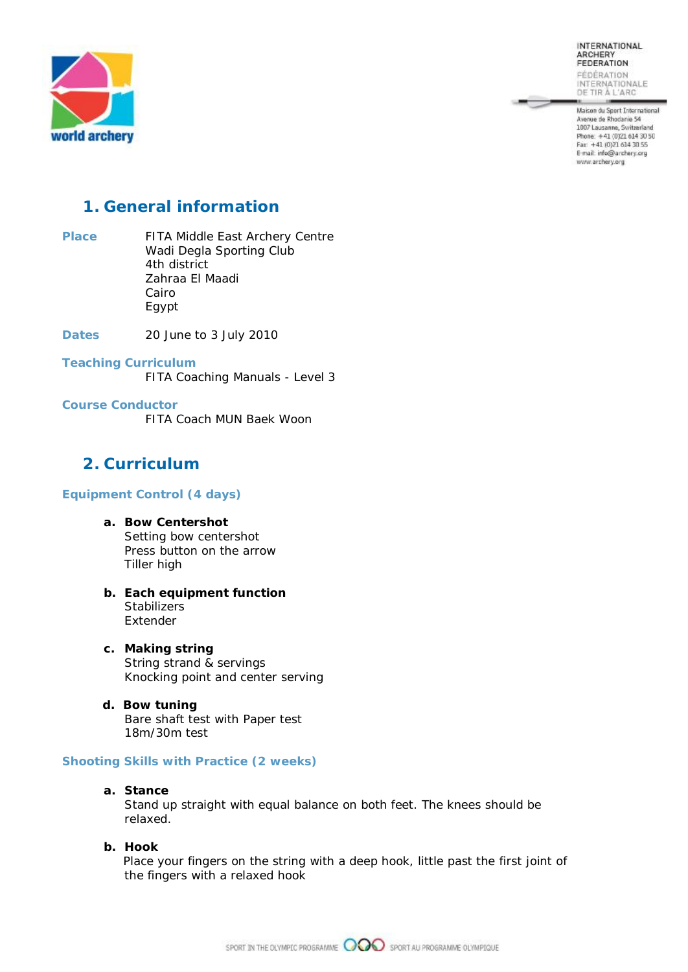**INTERNATIONAL** ARCHERY<br>FEDERATION FÉDÉRATION INTERNATIONALE

Maison du Sport International Avenue de Rhodanie 54<br>1007 Lausanne, Switzerland Phone: +41 (0)21 614 30 50<br>Fax: +41 (0)21 614 30 56<br>E-mail: info@archery.org www.archery.org



## **1. General information**

- **Place** FITA Middle East Archery Centre Wadi Degla Sporting Club 4th district Zahraa El Maadi Cairo Egypt
- **Dates** 20 June to 3 July 2010
- **Teaching Curriculum**  FITA Coaching Manuals - Level 3
- **Course Conductor**  FITA Coach MUN Baek Woon

## **2. Curriculum**

#### **Equipment Control (4 days)**

- **a. Bow Centershot**  Setting bow centershot Press button on the arrow Tiller high
- **b. Each equipment function Stabilizers** Extender
- **c. Making string**  String strand & servings Knocking point and center serving
- **d. Bow tuning** Bare shaft test with Paper test 18m/30m test

#### **Shooting Skills with Practice (2 weeks)**

**a. Stance** 

Stand up straight with equal balance on both feet. The knees should be relaxed.

**b. Hook** 

Place your fingers on the string with a deep hook, little past the first joint of the fingers with a relaxed hook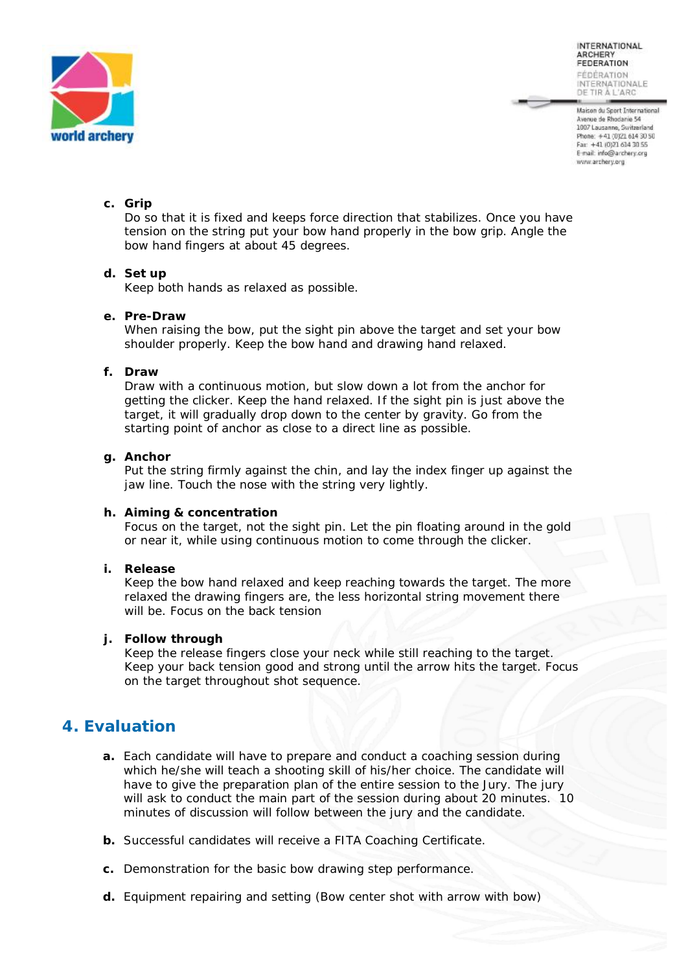

Maison du Sport International Avenue de Rhodanie 54 1007 Lausanne, Switzerland Phone: +41 (0)21 614 30 50 Fax: +41 (0)21 614 30 55 E-mail: info@archery.org www.archery.org

#### **c. Grip**

Do so that it is fixed and keeps force direction that stabilizes. Once you have tension on the string put your bow hand properly in the bow grip. Angle the bow hand fingers at about 45 degrees.

#### **d. Set up**

Keep both hands as relaxed as possible.

#### **e. Pre-Draw**

When raising the bow, put the sight pin above the target and set your bow shoulder properly. Keep the bow hand and drawing hand relaxed.

#### **f. Draw**

Draw with a continuous motion, but slow down a lot from the anchor for getting the clicker. Keep the hand relaxed. If the sight pin is just above the target, it will gradually drop down to the center by gravity. Go from the starting point of anchor as close to a direct line as possible.

#### **g. Anchor**

Put the string firmly against the chin, and lay the index finger up against the jaw line. Touch the nose with the string very lightly.

#### **h. Aiming & concentration**

Focus on the target, not the sight pin. Let the pin floating around in the gold or near it, while using continuous motion to come through the clicker.

**i. Release** 

Keep the bow hand relaxed and keep reaching towards the target. The more relaxed the drawing fingers are, the less horizontal string movement there will be. Focus on the back tension

#### **j. Follow through**

Keep the release fingers close your neck while still reaching to the target. Keep your back tension good and strong until the arrow hits the target. Focus on the target throughout shot sequence.

### **4. Evaluation**

- **a.** Each candidate will have to prepare and conduct a coaching session during which he/she will teach a shooting skill of his/her choice. The candidate will have to give the preparation plan of the entire session to the Jury. The jury will ask to conduct the main part of the session during about 20 minutes. 10 minutes of discussion will follow between the jury and the candidate.
- **b.** Successful candidates will receive a FITA Coaching Certificate.
- **c.** Demonstration for the basic bow drawing step performance.
- **d.** Equipment repairing and setting (Bow center shot with arrow with bow)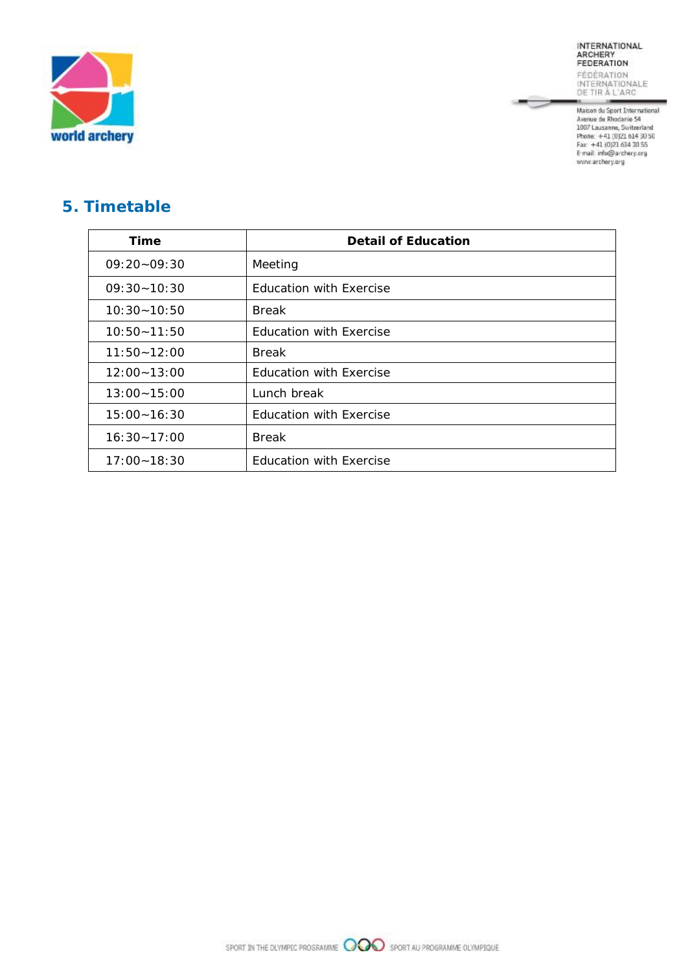

INTERNATIONAL<br>ARCHERY<br>FEDERATION **FÉDÉRATION<br>INTERNATIONALE**<br>DE TIR À L'ARC

ļ

DE FIR A L ARC<br>Maison du Sport International<br>Avenue de Rhodanie 54<br>1007 Lausanne, Switzerland<br>Pone: +41 (0)21 614 30 50<br>Fan: +41 (0)21 614 30 55<br>E-mail: infe@archery.org<br>www.archery.org

# **5. Timetable**

| Time            | <b>Detail of Education</b>     |
|-----------------|--------------------------------|
| $09:20 - 09:30$ | Meeting                        |
| $09:30 - 10:30$ | <b>Education with Exercise</b> |
| $10:30 - 10:50$ | <b>Break</b>                   |
| $10:50 - 11:50$ | <b>Education with Exercise</b> |
| $11:50 - 12:00$ | <b>Break</b>                   |
| $12:00 - 13:00$ | <b>Education with Exercise</b> |
| $13:00 - 15:00$ | Lunch break                    |
| $15:00 - 16:30$ | <b>Education with Exercise</b> |
| $16:30 - 17:00$ | <b>Break</b>                   |
| $17:00 - 18:30$ | <b>Education with Exercise</b> |